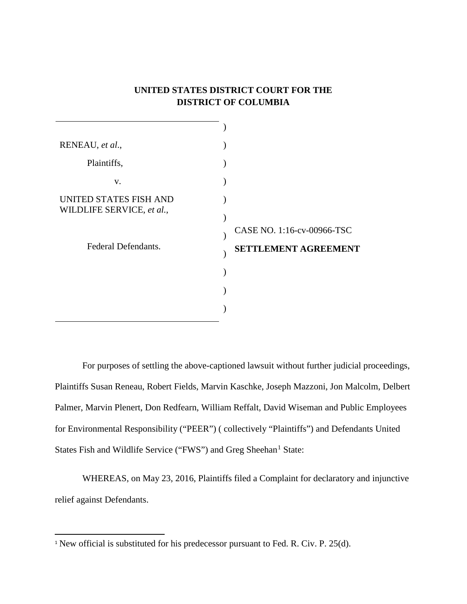## **UNITED STATES DISTRICT COURT FOR THE DISTRICT OF COLUMBIA**

| RENEAU, et al.,                                     |                             |
|-----------------------------------------------------|-----------------------------|
| Plaintiffs,                                         |                             |
| V.                                                  |                             |
| UNITED STATES FISH AND<br>WILDLIFE SERVICE, et al., | CASE NO. 1:16-cv-00966-TSC  |
| Federal Defendants.                                 | <b>SETTLEMENT AGREEMENT</b> |
|                                                     |                             |
|                                                     |                             |

For purposes of settling the above-captioned lawsuit without further judicial proceedings, Plaintiffs Susan Reneau, Robert Fields, Marvin Kaschke, Joseph Mazzoni, Jon Malcolm, Delbert Palmer, Marvin Plenert, Don Redfearn, William Reffalt, David Wiseman and Public Employees for Environmental Responsibility ("PEER") ( collectively "Plaintiffs") and Defendants United States Fish and Wildlife Service ("FWS") and Greg Sheehan<sup>1</sup> State:

WHEREAS, on May 23, 2016, Plaintiffs filed a Complaint for declaratory and injunctive relief against Defendants.

<sup>&</sup>lt;sup>1</sup> New official is substituted for his predecessor pursuant to Fed. R. Civ. P. 25(d).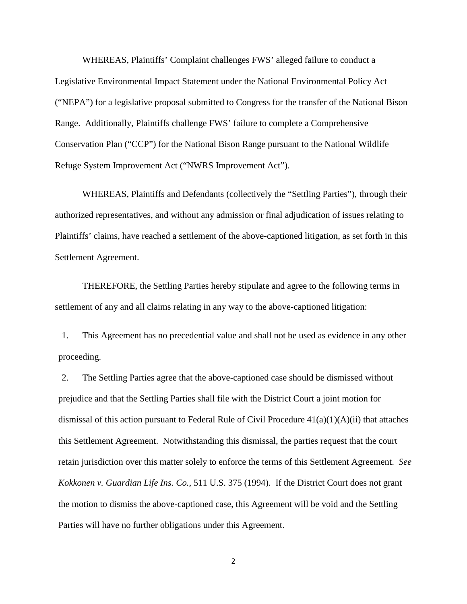WHEREAS, Plaintiffs' Complaint challenges FWS' alleged failure to conduct a Legislative Environmental Impact Statement under the National Environmental Policy Act ("NEPA") for a legislative proposal submitted to Congress for the transfer of the National Bison Range. Additionally, Plaintiffs challenge FWS' failure to complete a Comprehensive Conservation Plan ("CCP") for the National Bison Range pursuant to the National Wildlife Refuge System Improvement Act ("NWRS Improvement Act").

WHEREAS, Plaintiffs and Defendants (collectively the "Settling Parties"), through their authorized representatives, and without any admission or final adjudication of issues relating to Plaintiffs' claims, have reached a settlement of the above-captioned litigation, as set forth in this Settlement Agreement.

THEREFORE, the Settling Parties hereby stipulate and agree to the following terms in settlement of any and all claims relating in any way to the above-captioned litigation:

1. This Agreement has no precedential value and shall not be used as evidence in any other proceeding.

2. The Settling Parties agree that the above-captioned case should be dismissed without prejudice and that the Settling Parties shall file with the District Court a joint motion for dismissal of this action pursuant to Federal Rule of Civil Procedure 41(a)(1)(A)(ii) that attaches this Settlement Agreement. Notwithstanding this dismissal, the parties request that the court retain jurisdiction over this matter solely to enforce the terms of this Settlement Agreement. *See Kokkonen v. Guardian Life Ins. Co.*, 511 U.S. 375 (1994). If the District Court does not grant the motion to dismiss the above-captioned case, this Agreement will be void and the Settling Parties will have no further obligations under this Agreement.

2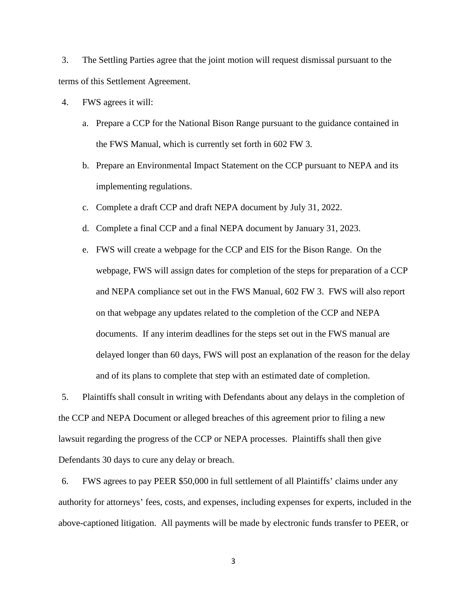3. The Settling Parties agree that the joint motion will request dismissal pursuant to the terms of this Settlement Agreement.

- 4. FWS agrees it will:
	- a. Prepare a CCP for the National Bison Range pursuant to the guidance contained in the FWS Manual, which is currently set forth in 602 FW 3.
	- b. Prepare an Environmental Impact Statement on the CCP pursuant to NEPA and its implementing regulations.
	- c. Complete a draft CCP and draft NEPA document by July 31, 2022.
	- d. Complete a final CCP and a final NEPA document by January 31, 2023.
	- e. FWS will create a webpage for the CCP and EIS for the Bison Range. On the webpage, FWS will assign dates for completion of the steps for preparation of a CCP and NEPA compliance set out in the FWS Manual, 602 FW 3. FWS will also report on that webpage any updates related to the completion of the CCP and NEPA documents. If any interim deadlines for the steps set out in the FWS manual are delayed longer than 60 days, FWS will post an explanation of the reason for the delay and of its plans to complete that step with an estimated date of completion.

5. Plaintiffs shall consult in writing with Defendants about any delays in the completion of the CCP and NEPA Document or alleged breaches of this agreement prior to filing a new lawsuit regarding the progress of the CCP or NEPA processes. Plaintiffs shall then give Defendants 30 days to cure any delay or breach.

6. FWS agrees to pay PEER \$50,000 in full settlement of all Plaintiffs' claims under any authority for attorneys' fees, costs, and expenses, including expenses for experts, included in the above-captioned litigation. All payments will be made by electronic funds transfer to PEER, or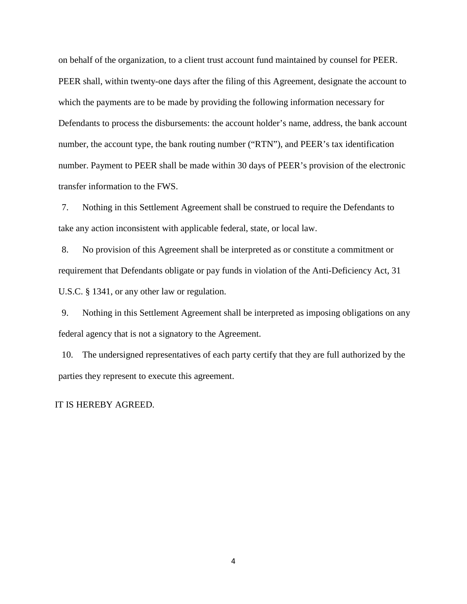on behalf of the organization, to a client trust account fund maintained by counsel for PEER. PEER shall, within twenty-one days after the filing of this Agreement, designate the account to which the payments are to be made by providing the following information necessary for Defendants to process the disbursements: the account holder's name, address, the bank account number, the account type, the bank routing number ("RTN"), and PEER's tax identification number. Payment to PEER shall be made within 30 days of PEER's provision of the electronic transfer information to the FWS.

7. Nothing in this Settlement Agreement shall be construed to require the Defendants to take any action inconsistent with applicable federal, state, or local law.

8. No provision of this Agreement shall be interpreted as or constitute a commitment or requirement that Defendants obligate or pay funds in violation of the Anti-Deficiency Act, 31 U.S.C. § 1341, or any other law or regulation.

9. Nothing in this Settlement Agreement shall be interpreted as imposing obligations on any federal agency that is not a signatory to the Agreement.

10. The undersigned representatives of each party certify that they are full authorized by the parties they represent to execute this agreement.

## IT IS HEREBY AGREED.